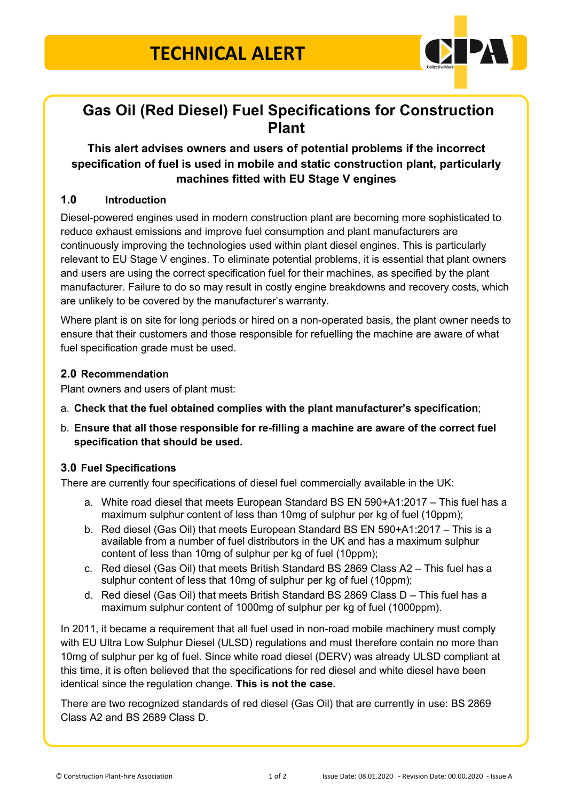

## **Gas Oil (Red Diesel) Fuel Specifications for Construction Plant**

### **This alert advises owners and users of potential problems if the incorrect specification of fuel is used in mobile and static construction plant, particularly machines fitted with EU Stage V engines**

#### **1.0 Introduction**

Diesel-powered engines used in modern construction plant are becoming more sophisticated to reduce exhaust emissions and improve fuel consumption and plant manufacturers are continuously improving the technologies used within plant diesel engines. This is particularly relevant to EU Stage V engines. To eliminate potential problems, it is essential that plant owners and users are using the correct specification fuel for their machines, as specified by the plant manufacturer. Failure to do so may result in costly engine breakdowns and recovery costs, which are unlikely to be covered by the manufacturer's warranty.

Where plant is on site for long periods or hired on a non-operated basis, the plant owner needs to ensure that their customers and those responsible for refuelling the machine are aware of what fuel specification grade must be used.

#### **2.0 Recommendation**

Plant owners and users of plant must:

- a. **Check that the fuel obtained complies with the plant manufacturer's specification**;
- b. **Ensure that all those responsible for re-filling a machine are aware of the correct fuel specification that should be used.**

#### **3.0 Fuel Specifications**

There are currently four specifications of diesel fuel commercially available in the UK:

- a. White road diesel that meets European Standard BS EN 590+A1:2017 This fuel has a maximum sulphur content of less than 10mg of sulphur per kg of fuel (10ppm);
- b. Red diesel (Gas Oil) that meets European Standard BS EN 590+A1:2017 This is a available from a number of fuel distributors in the UK and has a maximum sulphur content of less than 10mg of sulphur per kg of fuel (10ppm);
- c. Red diesel (Gas Oil) that meets British Standard BS 2869 Class A2 This fuel has a sulphur content of less that 10mg of sulphur per kg of fuel (10ppm);
- d. Red diesel (Gas Oil) that meets British Standard BS 2869 Class D This fuel has a maximum sulphur content of 1000mg of sulphur per kg of fuel (1000ppm).

In 2011, it became a requirement that all fuel used in non-road mobile machinery must comply with EU Ultra Low Sulphur Diesel (ULSD) regulations and must therefore contain no more than 10mg of sulphur per kg of fuel. Since white road diesel (DERV) was already ULSD compliant at this time, it is often believed that the specifications for red diesel and white diesel have been identical since the regulation change. **This is not the case.**

There are two recognized standards of red diesel (Gas Oil) that are currently in use: BS 2869 Class A2 and BS 2689 Class D.